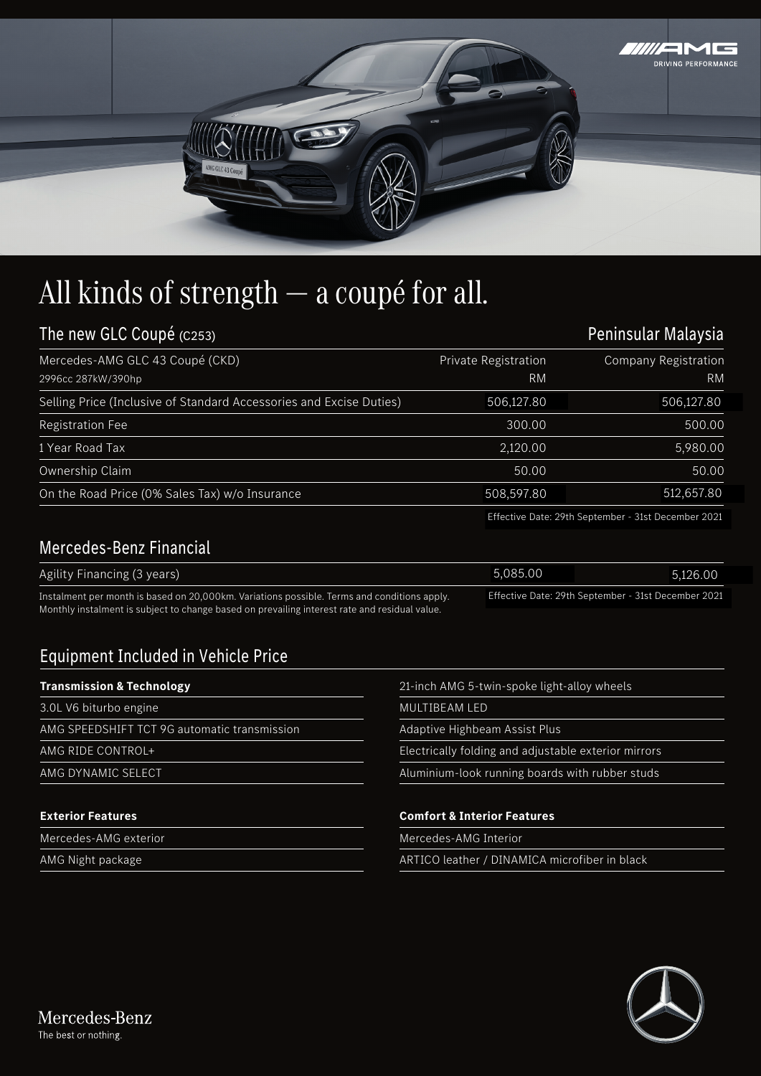

## All kinds of strength — a coupé for all.

| The new GLC Coupé (C253)                                                                    |                                   | Peninsular Malaysia                                 |  |
|---------------------------------------------------------------------------------------------|-----------------------------------|-----------------------------------------------------|--|
| Mercedes-AMG GLC 43 Coupé (CKD)<br>2996cc 287kW/390hp                                       | Private Registration<br><b>RM</b> | <b>Company Registration</b><br><b>RM</b>            |  |
| Selling Price (Inclusive of Standard Accessories and Excise Duties)                         | 506,127.80                        | 506,127.80                                          |  |
| <b>Registration Fee</b>                                                                     | 300.00                            | 500.00                                              |  |
| 1 Year Road Tax                                                                             | 2,120.00                          | 5,980.00                                            |  |
| Ownership Claim                                                                             | 50.00                             | 50.00                                               |  |
| On the Road Price (0% Sales Tax) w/o Insurance                                              | 508,597.80                        | 512,657.80                                          |  |
|                                                                                             |                                   | Effective Date: 29th September - 31st December 2021 |  |
| <b>Mercedes-Benz Financial</b>                                                              |                                   |                                                     |  |
| Agility Financing (3 years)                                                                 | 5,085.00                          | 5,126.00                                            |  |
| Instalment per month is based on 20,000km. Variations possible. Terms and conditions apply. |                                   | Effective Date: 29th September - 31st December 2021 |  |

## Mercedes-Benz Financial

| Agility Financing (3 years)                                                                   | 5.085.00 | 5.126.00                                            |
|-----------------------------------------------------------------------------------------------|----------|-----------------------------------------------------|
| Instalment per month is based on 20,000km. Variations possible. Terms and conditions apply.   |          | Effective Date: 29th September - 31st December 2021 |
| Monthly instalment is subject to change based on prevailing interest rate and residual value. |          |                                                     |

## Equipment Included in Vehicle Price

## **Transmission & Technology**

| <b>Transmission &amp; Technology</b>         | 21-inch AMG 5-twin-spoke light-alloy wheels          |  |
|----------------------------------------------|------------------------------------------------------|--|
| 3.0L V6 biturbo engine                       | MULTIBEAM LED                                        |  |
| AMG SPEEDSHIFT TCT 9G automatic transmission | Adaptive Highbeam Assist Plus                        |  |
| AMG RIDE CONTROL+                            | Electrically folding and adjustable exterior mirrors |  |
| AMG DYNAMIC SELECT                           | Aluminium-look running boards with rubber studs      |  |
| <b>Exterior Features</b>                     | <b>Comfort &amp; Interior Features</b>               |  |
| Mercedes-AMG exterior                        | Mercedes-AMG Interior                                |  |
| AMG Night package                            | ARTICO leather / DINAMICA microfiber in black        |  |